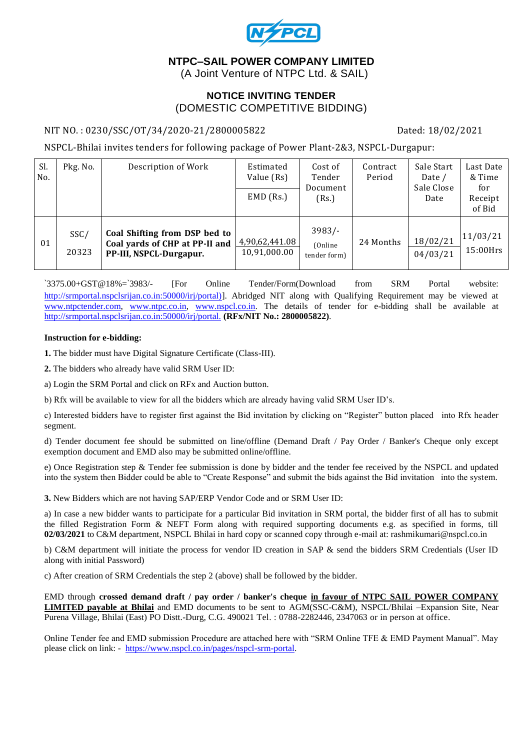

# **NTPC–SAIL POWER COMPANY LIMITED**

(A Joint Venture of NTPC Ltd. & SAIL)

#### **NOTICE INVITING TENDER** (DOMESTIC COMPETITIVE BIDDING)

#### NIT NO.: 0230/SSC/OT/34/2020-21/2800005822 Dated: 18/02/2021

NSPCL-Bhilai invites tenders for following package of Power Plant-2&3, NSPCL-Durgapur:

| Sl.<br>No. | Pkg. No.      | Description of Work                                                                        | Estimated<br>Value (Rs)<br>$EMD$ (Rs.) | Cost of<br>Tender<br>Document<br>(Rs.) | Contract<br>Period | Sale Start<br>Date /<br>Sale Close<br>Date | Last Date<br>& Time<br>for<br>Receipt<br>of Bid |
|------------|---------------|--------------------------------------------------------------------------------------------|----------------------------------------|----------------------------------------|--------------------|--------------------------------------------|-------------------------------------------------|
| 01         | SSC/<br>20323 | Coal Shifting from DSP bed to<br>Coal yards of CHP at PP-II and<br>PP-III, NSPCL-Durgapur. | 4,90,62,441.08<br>10,91,000.00         | $3983/-$<br>(Online<br>tender form)    | 24 Months          | 18/02/21<br>04/03/21                       | 11/03/21<br>$15:00$ Hrs                         |

`3375.00+GST@18%=`3983/- [For Online Tender/Form(Download from SRM Portal website: [http://srmportal.nspclsrijan.co.in:50000/irj/portal\)\]](http://srmportal.nspclsrijan.co.in:50000/irj/portal)). Abridged NIT along with Qualifying Requirement may be viewed at [www.ntpctender.com,](http://www.ntpctender.com/) [www.ntpc.co.in,](http://www.ntpc.co.in/) [www.nspcl.co.in.](http://www.nspcl.co.in/) The details of tender for e-bidding shall be available at <http://srmportal.nspclsrijan.co.in:50000/irj/portal.> **(RFx/NIT No.: 2800005822)**.

#### **Instruction for e-bidding:**

**1.** The bidder must have Digital Signature Certificate (Class-III).

**2.** The bidders who already have valid SRM User ID:

a) Login the SRM Portal and click on RFx and Auction button.

b) Rfx will be available to view for all the bidders which are already having valid SRM User ID's.

c) Interested bidders have to register first against the Bid invitation by clicking on "Register" button placed into Rfx header segment.

d) Tender document fee should be submitted on line/offline (Demand Draft / Pay Order / Banker's Cheque only except exemption document and EMD also may be submitted online/offline.

e) Once Registration step & Tender fee submission is done by bidder and the tender fee received by the NSPCL and updated into the system then Bidder could be able to "Create Response" and submit the bids against the Bid invitation into the system.

**3.** New Bidders which are not having SAP/ERP Vendor Code and or SRM User ID:

a) In case a new bidder wants to participate for a particular Bid invitation in SRM portal, the bidder first of all has to submit the filled Registration Form & NEFT Form along with required supporting documents e.g. as specified in forms, till **02/03/2021** to C&M department, NSPCL Bhilai in hard copy or scanned copy through e-mail at: rashmikumari@nspcl.co.in

b) C&M department will initiate the process for vendor ID creation in SAP & send the bidders SRM Credentials (User ID along with initial Password)

c) After creation of SRM Credentials the step 2 (above) shall be followed by the bidder.

EMD through **crossed demand draft / pay order / banker's cheque in favour of NTPC SAIL POWER COMPANY LIMITED payable at Bhilai** and EMD documents to be sent to AGM(SSC-C&M), NSPCL/Bhilai –Expansion Site, Near Purena Village, Bhilai (East) PO Distt.-Durg, C.G. 490021 Tel. : 0788-2282446, 2347063 or in person at office.

Online Tender fee and EMD submission Procedure are attached here with "SRM Online TFE & EMD Payment Manual". May please click on link: - [https://www.nspcl.co.in/pages/nspcl-srm-portal.](https://www.nspcl.co.in/pages/nspcl-srm-portal)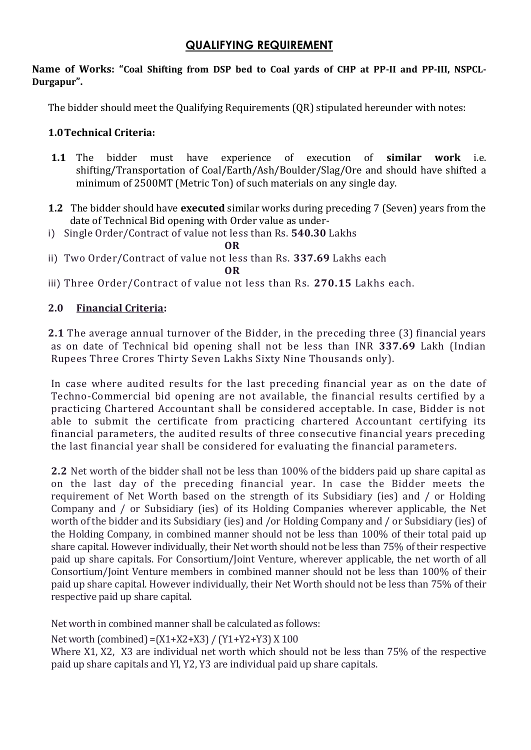# **QUALIFYING REQUIREMENT**

#### **Name of Works: "Coal Shifting from DSP bed to Coal yards of CHP at PP-II and PP-III, NSPCL-Durgapur".**

The bidder should meet the Qualifying Requirements (QR) stipulated hereunder with notes:

## **1.0Technical Criteria:**

- **1.1** The bidder must have experience of execution of **similar work** i.e. shifting/Transportation of Coal/Earth/Ash/Boulder/Slag/Ore and should have shifted a minimum of 2500MT (Metric Ton) of such materials on any single day.
- **1.2** The bidder should have **executed** similar works during preceding 7 (Seven) years from the date of Technical Bid opening with Order value as under-
- i) Single Order/Contract of value not less than Rs. **540.30** Lakhs

**OR**

ii) Two Order/Contract of value not less than Rs. **337.69** Lakhs each

**OR**

iii) Three Order/Contract of value not less than Rs. **270.15** Lakhs each.

## **2.0 Financial Criteria:**

**2.1** The average annual turnover of the Bidder, in the preceding three (3) financial years as on date of Technical bid opening shall not be less than INR **337.69** Lakh (Indian Rupees Three Crores Thirty Seven Lakhs Sixty Nine Thousands only).

In case where audited results for the last preceding financial year as on the date of Techno-Commercial bid opening are not available, the financial results certified by a practicing Chartered Accountant shall be considered acceptable. In case, Bidder is not able to submit the certificate from practicing chartered Accountant certifying its financial parameters, the audited results of three consecutive financial years preceding the last financial year shall be considered for evaluating the financial parameters.

**2.2** Net worth of the bidder shall not be less than 100% of the bidders paid up share capital as on the last day of the preceding financial year. In case the Bidder meets the requirement of Net Worth based on the strength of its Subsidiary (ies) and / or Holding Company and / or Subsidiary (ies) of its Holding Companies wherever applicable, the Net worth of the bidder and its Subsidiary (ies) and /or Holding Company and / or Subsidiary (ies) of the Holding Company, in combined manner should not be less than 100% of their total paid up share capital. However individually, their Net worth should not be less than 75% of their respective paid up share capitals. For Consortium/Joint Venture, wherever applicable, the net worth of all Consortium/Joint Venture members in combined manner should not be less than 100% of their paid up share capital. However individually, their Net Worth should not be less than 75% of their respective paid up share capital.

Net worth in combined manner shall be calculated as follows:

#### Net worth (combined) =(X1+X2+X3) / (Y1+Y2+Y3) X 100

Where X1, X2, X3 are individual net worth which should not be less than 75% of the respective paid up share capitals and Yl, Y2, Y3 are individual paid up share capitals.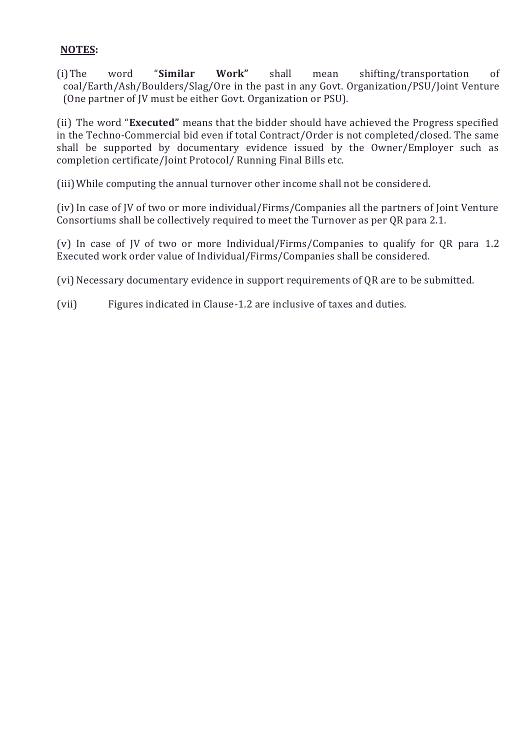## **NOTES:**

(i)The word "**Similar Work"** shall mean shifting/transportation of coal/Earth/Ash/Boulders/Slag/Ore in the past in any Govt. Organization/PSU/Joint Venture (One partner of JV must be either Govt. Organization or PSU).

(ii) The word "**Executed"** means that the bidder should have achieved the Progress specified in the Techno-Commercial bid even if total Contract/Order is not completed/closed. The same shall be supported by documentary evidence issued by the Owner/Employer such as completion certificate/Joint Protocol/ Running Final Bills etc.

(iii)While computing the annual turnover other income shall not be considered.

(iv)In case of JV of two or more individual/Firms/Companies all the partners of Joint Venture Consortiums shall be collectively required to meet the Turnover as per QR para 2.1.

(v) In case of JV of two or more Individual/Firms/Companies to qualify for QR para 1.2 Executed work order value of Individual/Firms/Companies shall be considered.

(vi)Necessary documentary evidence in support requirements of QR are to be submitted.

(vii) Figures indicated in Clause-1.2 are inclusive of taxes and duties.